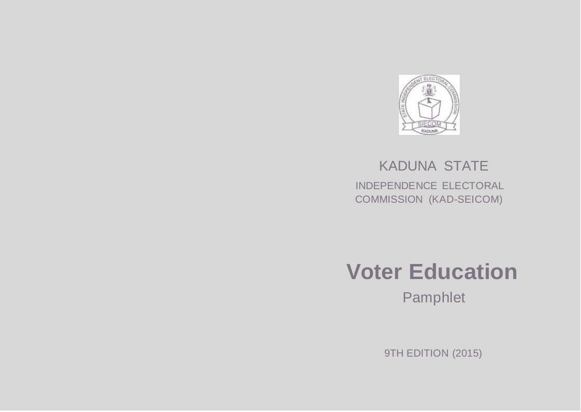

# KADUNA STATE INDEPENDENCE ELECTORAL COMMISSION (KAD-SEICOM)



Pamphlet

9TH EDITION (2015)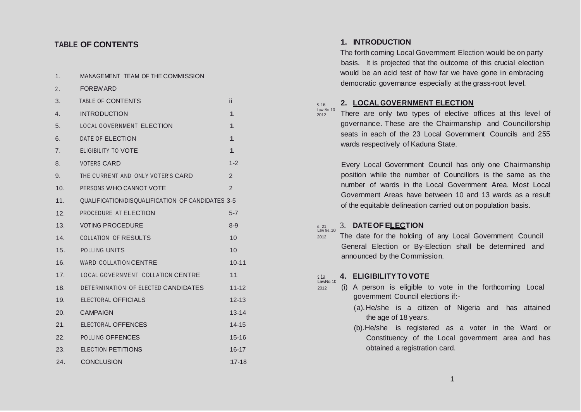| 1.              | MANAGEMENT TEAM OF THE COMMISSION                |                |
|-----------------|--------------------------------------------------|----------------|
| 2.              | <b>FOREWARD</b>                                  |                |
| 3.              | TABLE OF CONTENTS                                | ii             |
| 4.              | <b>INTRODUCTION</b>                              | 1              |
| 5.              | <b>LOCAL GOVERNMENT ELECTION</b>                 | 1              |
| 6.              | DATE OF ELECTION                                 | $\mathbf{1}$   |
| 7 <sub>1</sub>  | ELIGIBILITY TO VOTE                              | $\mathbf{1}$   |
| 8.              | <b>VOTERS CARD</b>                               | $1 - 2$        |
| 9.              | THE CURRENT AND ONLY VOTER'S CARD                | 2              |
| 10.             | PERSONS WHO CANNOT VOTE                          | $\overline{2}$ |
| 11.             | QUALIFICATION/DISQUALIFICATION OF CANDIDATES 3-5 |                |
| 12.             | PROCEDURE AT ELECTION                            | $5 - 7$        |
| 13.             | <b>VOTING PROCEDURE</b>                          | $8 - 9$        |
| 14.             | <b>COLLATION OF RESULTS</b>                      | 10             |
| 15.             | <b>POLLING UNITS</b>                             | 10             |
| 16.             | <b>WARD COLLATION CENTRE</b>                     | $10 - 11$      |
| 17.             | LOCAL GOVERNMENT COLLATION CENTRE                | 11             |
| 18.             | DETERMINATION OF ELECTED CANDIDATES              | $11 - 12$      |
| 19.             | ELECTORAL OFFICIALS                              | $12 - 13$      |
| 20 <sub>1</sub> | CAMPAIGN                                         | $13 - 14$      |
| 21.             | ELECTORAL OFFENCES                               | $14 - 15$      |
|                 | 22. POLLING OFFENCES                             | $15 - 16$      |
| 23.             | <b>ELECTION PETITIONS</b>                        | $16 - 17$      |
| 24.             | <b>CONCLUSION</b>                                | $17 - 18$      |

### **TABLE OF CONTENTS 1. INTRODUCTION**

S. 16

2012

The forth coming Local Government Election would be on party basis. It is projected that the outcome of this crucial election would be an acid test of how far we have gone in embracing democratic governance especially at the grass-root level.

### **2. LOCAL GOVERNMENT ELECTION**

Law No. 10 There are only two types of elective offices at this level of governance. These are the Chairmanship and Councillorship seats in each of the 23 Local Government Councils and 255 wards respectively of Kaduna State.

> Every Local Government Council has only one Chairmanship position while the number of Councillors is the same as the number of wards in the Local Government Area. Most Local Government Areas have between 10 and 13 wards as a result of the equitable delineation carried out on population basis.

#### s. <sup>21</sup> 3. **DATEOF ELECTION**  $S.21$ <br>Law No. 10

<sup>2012</sup> The date for the holding of any Local Government Council General Election or By-Election shall be determined and announced by the Commission.

#### s.1a **4. ELIGIBILITY TO VOTE** s.1a<br>LawNo.10

- $2012$  (i) A person is eligible to vote in the forthcoming Local government Council elections if:-
	- (a).He/she is a citizen of Nigeria and has attained the age of 18 years.
	- (b).He/she is registered as a voter in the Ward or Constituency of the Local government area and has obtained a registration card.

1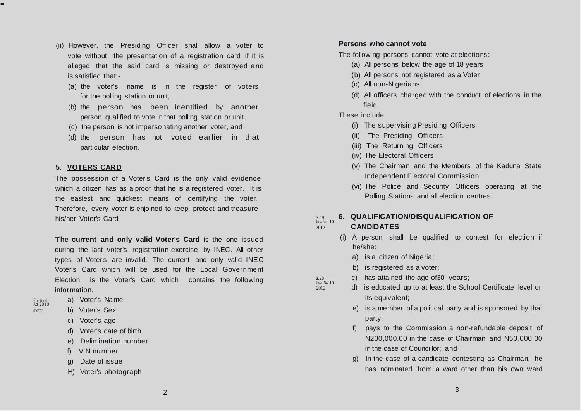- (ii) However, the Presiding Officer shall allow a voter to vote without the presentation of a registration card if it is alleged that the said card is missing or destroyed and is satisfied that:-
	- (a) the voter's name is in the register of voters for the polling station or unit,
	- (b) the person has been identified by another person qualified to vote in that polling station or unit,
	- (c) the person is not impersonating another voter, and
	- (d) the person has not voted earlier in that particular election.

### **5. VOTERS CARD**

The possession of a Voter's Card is the only valid evidence which a citizen has as a proof that he is a registered voter. It is the easiest and quickest means of identifying the voter. Therefore, every voter is enjoined to keep, protect and treasure his/her Voter's Card.

**The current and only valid Voter's Card** is the one issued during the last voter's registration exercise by INEC. All other types of Voter's are invalid. The current and only valid INEC Voter's Card which will be used for the Local Government Election is the Voter's Card which contains the following information.

-

- a) Voter's Name (INECJ b) Voter's Sex
	- c) Voter's age
	- d) Voter's date of birth
	- e) Delimination number
	- f) VIN number
	- g) Date of issue
	- H) Voter's photograph

### **Persons who cannot vote**

The following persons cannot vote at elections:

- (a) All persons below the age of 18 years
- (b) All persons not registered as a Voter
- (c) All non-Nigerians
- (d) All officers charged with the conduct of elections in the field

### These include:

- (i) The supervising Presiding Officers
- (ii) The Presiding Officers
- (iii) The Returning Officers
- (iv) The Electoral Officers
- (v) The Chairman and the Members of the Kaduna State Independent Electoral Commission
- (vi) The Police and Security Officers operating at the Polling Stations and all election centres.

### S.19 **6. QUALIFICATION/DISQUALIFICATION OF**  $S.19$ <br>lawNo. 10

## <sup>2012</sup> **CANDIDATES**

 $\frac{\$.20}{\$ law No. 10}$ 

- (i) A person shall be qualified to contest for election if he/she:
	- a) is a citizen of Nigeria;
	- b) is registered as a voter;
	- c) has attained the age of 30 years;
- 2012 d) is educated up to at least the School Certificate level or its equivalent;
	- e) is a member of a political party and is sponsored by that party;
	- f) pays to the Commission a non-refundable deposit of N200,000.00 in the case of Chairman and N50,000.00 in the case of Councillor; and
	- g) In the case of a candidate contesting as Chairman, he has nominated from a ward other than his own ward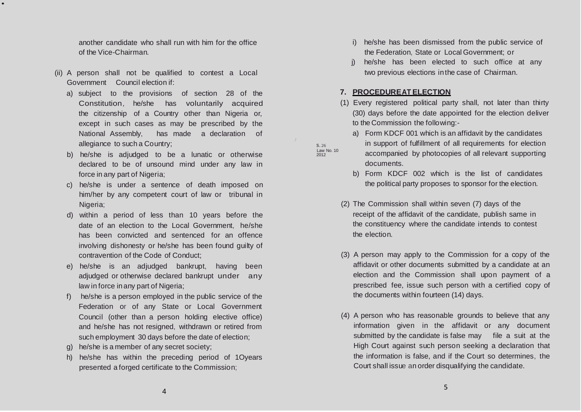another candidate who shall run with him for the office of the Vice-Chairman.

(ii) A person shall not be qualified to contest a Local Government Council election if:

•

- a) subject to the provisions of section 28 of the Constitution, he/she has voluntarily acquired the citizenship of a Country other than Nigeria or, except in such cases as may be prescribed by the National Assembly, has made a declaration of allegiance to such a Country;
- b) he/she is adjudged to be a lunatic or otherwise declared to be of unsound mind under any law in force in any part of Nigeria;
- c) he/she is under a sentence of death imposed on him/her by any competent court of law or tribunal in Nigeria;
- d) within a period of less than 10 years before the date of an election to the Local Government, he/she has been convicted and sentenced for an offence involving dishonesty or he/she has been found guilty of contravention of the Code of Conduct;
- e) he/she is an adjudged bankrupt, having been adjudged or otherwise declared bankrupt under any law in force inany part of Nigeria;
- f) he/she is a person employed in the public service of the Federation or of any State or Local Government Council (other than a person holding elective office) and he/she has not resigned, withdrawn or retired from such employment 30 days before the date of election;
- g) he/she is a member of any secret society;
- h) he/she has within the preceding period of 1Oyears presented a forged certificate to the Commission;
- i) he/she has been dismissed from the public service of the Federation, State or Local Government; or
- j) he/she has been elected to such office at any two previous elections inthe case of Chairman.

### **7. PROCEDUREAT ELECTION**

- (1) Every registered political party shall, not later than thirty (30) days before the date appointed for the election deliver to the Commission the following:
	- a) Form KDCF 001 which is an affidavit by the candidates in support of fulfillment of all requirements for election

Law No. <sup>10</sup> 2012

s. 26

*)*

- accompanied by photocopies of all relevant supporting documents.
- b) Form KDCF 002 which is the list of candidates the political party proposes to sponsor for the election.
- (2) The Commission shall within seven (7) days of the receipt of the affidavit of the candidate, publish same in the constituency where the candidate intends to contest the election.
- (3) A person may apply to the Commission for a copy of the affidavit or other documents submitted by a candidate at an election and the Commission shall upon payment of a prescribed fee, issue such person with a certified copy of the documents within fourteen (14) days.
- (4) A person who has reasonable grounds to believe that any information given in the affidavit or any document submitted by the candidate is false may file a suit at the High Court against such person seeking a declaration that the information is false, and if the Court so determines, the Court shall issue an order disqualifying the candidate.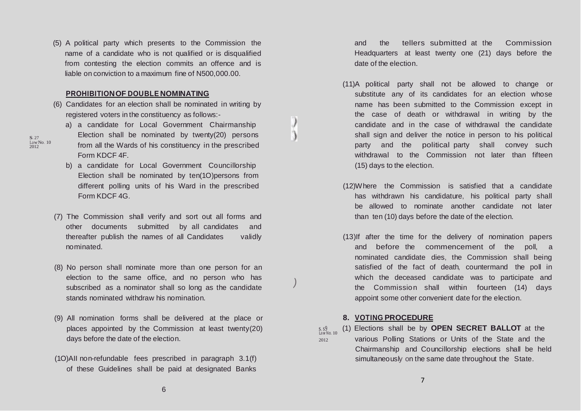6

(1O)AII non-refundable fees prescribed in paragraph 3.1(f) of these Guidelines shall be paid at designated Banks

days before the date of the election.

- (8) No person shall nominate more than one person for an election to the same office, and no person who has subscribed as a nominator shall so long as the candidate stands nominated withdraw his nomination.
- (9) All nomination forms shall be delivered at the place or

places appointed by the Commission at least twenty(20)

*)*

 $S.S9$ <br>Law No. 10

- Election shall be nominated by ten(1O)persons from different polling units of his Ward in the prescribed Form KDCF 4G.
- 

(5) A political party which presents to the Commission the name of a candidate who is not qualified or is disqualified from contesting the election commits an offence and is

liable on conviction to a maximum fine of N500,000.00.

(6) Candidates for an election shall be nominated in writing by

a) a candidate for Local Government Chairmanship Election shall be nominated by twenty(20) persons

**PROHIBITIONOF DOUBLE NOMINATING**

registered voters in the constituency as follows:-

s. <sup>27</sup> Law No. 10 2012

nominated.

(7) The Commission shall verify and sort out all forms and

other documents submitted by all candidates and thereafter publish the names of all Candidates validly

- 
- from all the Wards of his constituency in the prescribed Form KDCF 4F. b) a candidate for Local Government Councillorship
- and the tellers submitted at the Commission Headquarters at least twenty one (21) days before the date of the election.
- (11)A political party shall not be allowed to change or substitute any of its candidates for an election whose name has been submitted to the Commission except in the case of death or withdrawal in writing by the candidate and in the case of withdrawal the candidate shall sign and deliver the notice in person to his political party and the political party shall convey such withdrawal to the Commission not later than fifteen (15) days to the election.
- (12)Where the Commission is satisfied that a candidate has withdrawn his candidature, his political party shall be allowed to nominate another candidate not later than ten (10) days before the date of the election.
- (13)If after the time for the delivery of nomination papers and before the commencement of the poll, a nominated candidate dies, the Commission shall being satisfied of the fact of death, countermand the poll in which the deceased candidate was to participate and the Commission shall within fourteen (14) days appoint some other convenient date for the election.

### **8. VOTING PROCEDURE**

s. s9 (1) Elections shall be by **OPEN SECRET BALLOT** at the <sup>2012</sup> various Polling Stations or Units of the State and the Chairmanship and Councillorship elections shall be held simultaneously on the same date throughout the State.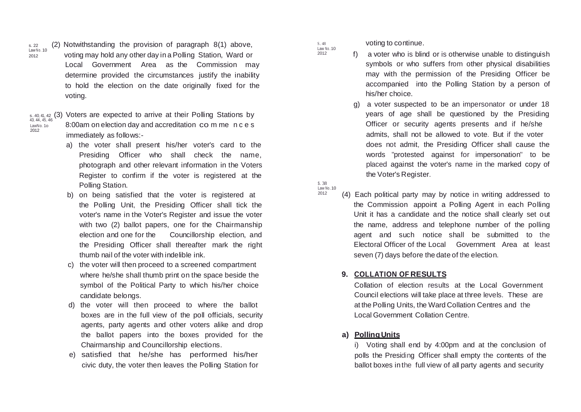$s.22$  (2) Notwithstanding the provision of paragraph 8(1) above,  $Law No. 10$ <sup>2012</sup> voting may hold any other day in a Polling Station, Ward or Local Government Area as the Commission may determine provided the circumstances justify the inability to hold the election on the date originally fixed for the voting.

2012

s. 40, 41, 42 (3) Voters are expected to arrive at their Polling Stations by<br>43, 44, 45, 46  $L_{\text{avNLO}, 10}$  8:00am on election day and accreditation co m me n c e s immediately as follows:-

- a) the voter shall present his/her voter's card to the Presiding Officer who shall check the name, photograph and other relevant information in the Voters Register to confirm if the voter is registered at the Polling Station.
- b) on being satisfied that the voter is registered at the Polling Unit, the Presiding Officer shall tick the voter's name in the Voter's Register and issue the voter with two (2) ballot papers, one for the Chairmanship election and one for the Councillorship election, and the Presiding Officer shall thereafter mark the right thumb nail of the voter with indelible ink.
- c) the voter will then proceed to a screened compartment where he/she shall thumb print on the space beside the symbol of the Political Party to which his/her choice candidate belongs.
- d) the voter will then proceed to where the ballot boxes are in the full view of the poll officials, security agents, party agents and other voters alike and drop the ballot papers into the boxes provided for the Chairmanship and Councillorship elections.
- e) satisfied that he/she has performed his/her

voting to continue.

S. 48  $Law No. 10$  $2012$ 

- f) a voter who is blind or is otherwise unable to distinguish symbols or who suffers from other physical disabilities may with the permission of the Presiding Officer be accompanied into the Polling Station by a person of his/her choice.
- g) a voter suspected to be an impersonator or under 18 years of age shall be questioned by the Presiding Officer or security agents presents and if he/she admits, shall not be allowed to vote. But if the voter does not admit, the Presiding Officer shall cause the words "protested against for impersonation" to be placed against the voter's name in the marked copy of the Voter's Register.

s. 38 Law No.10

2012

(4) Each political party may by notice in writing addressed to the Commission appoint a Polling Agent in each Polling Unit it has a candidate and the notice shall clearly set out the name, address and telephone number of the polling agent and such notice shall be submitted to the Electoral Officer of the Local Government Area at least seven (7) days before the date of the election.

### **9. COLLATION OF RESULTS**

Collation of election results at the Local Government Council elections will take place at three levels. These are at the Polling Units, the Ward Collation Centres and the Local Government Collation Centre.

### **a) PollingUnits**

civic duty, the voter then leaves the Polling Station for ballot boxes inthe full view of all party agents and security i) Voting shall end by 4:00pm and at the conclusion of polls the Presiding Officer shall empty the contents of the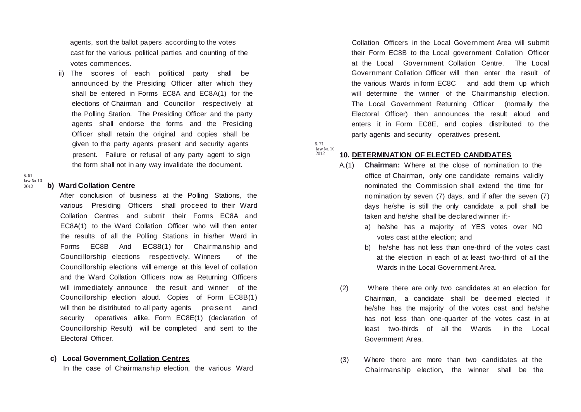agents, sort the ballot papers according to the votes cast for the various political parties and counting of the votes commences.

ii) The scores of each political party shall be announced by the Presiding Officer after which they shall be entered in Forms EC8A and EC8A(1) for the elections of Chairman and Councillor respectively at the Polling Station. The Presiding Officer and the party agents shall endorse the forms and the Presiding Officer shall retain the original and copies shall be given to the party agents present and security agents s.71 present. Failure or refusal of any party agent to sign the form shall not in any way invalidate the document.

s. 61  $\frac{1}{2012}$  No. 10

### <sup>2012</sup> **b) Ward Collation Centre**

After conclusion of business at the Polling Stations, the various Presiding Officers shall proceed to their Ward Collation Centres and submit their Forms EC8A and EC8A(1) to the Ward Collation Officer who will then enter the results of all the Polling Stations in his/her Ward in Forms EC8B And EC88(1) for Chairmanship and Councillorship elections respectively. Winners of the Councillorship elections will emerge at this level of collation and the Ward Collation Officers now as Returning Officers will immediately announce the result and winner of the Councillorship election aloud. Copies of Form EC8B(1) will then be distributed to all party agents present and security operatives alike. Form EC8E(1) (declaration of Councillorship Result) will be completed and sent to the Electoral Officer.

### **c) Local Government Collation Centres**

Collation Officers in the Local Government Area will submit their Form EC8B to the Local government Collation Officer at the Local Government Collation Centre. The Local Government Collation Officer will then enter the result of the various Wards in form EC8C and add them up which will determine the winner of the Chairmanship election. The Local Government Returning Officer (normally the Electoral Officer) then announces the result aloud and enters it in Form EC8E, and copies distributed to the party agents and security operatives present.

 $\frac{\text{law No. 10}}{2012}$ 

### <sup>2012</sup> **10. DETERMINATION OF ELECTED CANDIDATES**

- A.(1) **Chairman:** Where at the close of nomination to the office of Chairman, only one candidate remains validly nominated the Commission shall extend the time for nomination by seven (7) days, and if after the seven (7) days he/she is still the only candidate a poll shall be taken and he/she shall be declared winner if:
	- a) he/she has a majority of YES votes over NO votes cast at the election; and
	- b) he/she has not less than one-third of the votes cast at the election in each of at least two-third of all the Wards in the Local Government Area.
- (2) Where there are only two candidates at an election for Chairman, a candidate shall be deemed elected if he/she has the majority of the votes cast and he/she has not less than one-quarter of the votes cast in at least two-thirds of all the Wards in the Local Government Area.
- In the case of Chairmanship election, the various Ward Chairmanship election, the winner shall be the (3) Where there are more than two candidates at the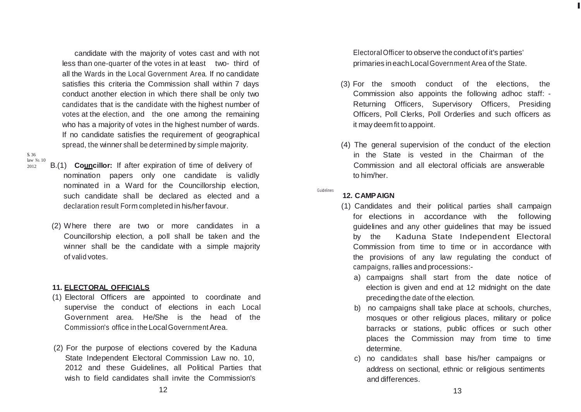candidate with the majority of votes cast and with not less than one-quarter of the votes in at least two- third of all the Wards in the Local Government Area. If no candidate satisfies this criteria the Commission shall within 7 days conduct another election in which there shall be only two candidates that is the candidate with the highest number of votes at the election, and the one among the remaining who has a majority of votes in the highest number of wards. If no candidate satisfies the requirement of geographical spread, the winner shall be determined by simple majority.

s. 36 law No. 10

- <sup>2012</sup> B.(1) **Councillor:** If after expiration of time of delivery of nomination papers only one candidate is validly nominated in a Ward for the Councillorship election, such candidate shall be declared as elected and a declaration result Form completed in his/herfavour.
	- (2) Where there are two or more candidates in a Councillorship election, a poll shall be taken and the winner shall be the candidate with a simple majority of valid votes.

### **11. ELECTORAL OFFICIALS**

- (1) Electoral Officers are appointed to coordinate and supervise the conduct of elections in each Local Government area. He/She is the head of the Commission's office in the LocalGovernmentArea.
- (2) For the purpose of elections covered by the Kaduna State Independent Electoral Commission Law no. 10, 2012 and these Guidelines, all Political Parties that wish to field candidates shall invite the Commission's

ElectoralOfficer to observe the conduct of it's parties' primaries in eachLocalGovernment Area of the State. I

- (3) For the smooth conduct of the elections, the Commission also appoints the following adhoc staff: - Returning Officers, Supervisory Officers, Presiding Officers, Poll Clerks, Poll Orderlies and such officers as it may deemfit to appoint.
- (4) The general supervision of the conduct of the election in the State is vested in the Chairman of the Commission and all electoral officials are answerable to him/her.

Guidelines

### **12. CAMPAIGN**

- (1) Candidates and their political parties shall campaign for elections in accordance with the following guidelines and any other guidelines that may be issued by the Kaduna State Independent Electoral Commission from time to time or in accordance with the provisions of any law regulating the conduct of campaigns, rallies and processions:
	- a) campaigns shall start from the date notice of election is given and end at 12 midnight on the date preceding the date of the election.
	- b) no campaigns shall take place at schools, churches, mosques or other religious places, military or police barracks or stations, public offices or such other places the Commission may from time to time determine.
	- c) no candidates shall base his/her campaigns or address on sectional, ethnic or religious sentiments and differences.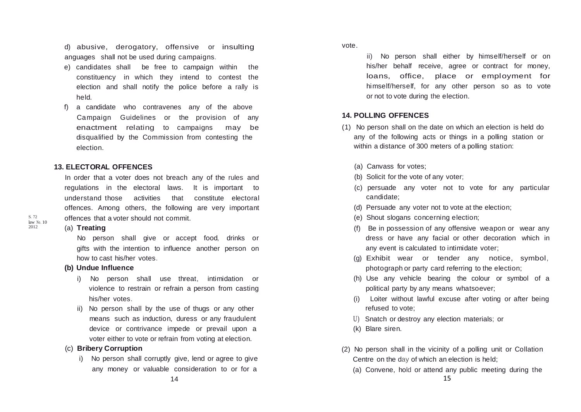d) abusive, derogatory, offensive or insulting anguages shall not be used during campaigns.

- e) candidates shall be free to campaign within the constituency in which they intend to contest the election and shall notify the police before a rally is held.
- f) a candidate who contravenes any of the above Campaign Guidelines or the provision of any enactment relating to campaigns may be disqualified by the Commission from contesting the election.

### **13. ELECTORAL OFFENCES**

In order that a voter does not breach any of the rules and regulations in the electoral laws. It is important to understand those activities that constitute electoral offences. Among others, the following are very important offences that a voter should not commit.

### (a) **Treating**

No person shall give or accept food, drinks or gifts with the intention to influence another person on how to cast his/her votes.

### **(b) Undue Influence**

- i) No person shall use threat, intimidation or violence to restrain or refrain a person from casting his/her votes.
- ii) No person shall by the use of thugs or any other means such as induction, duress or any fraudulent device or contrivance impede or prevail upon a voter either to vote or refrain from voting at election.

### (c) **Bribery Corruption**

i) No person shall corruptly give, lend or agree to give any money or valuable consideration to or for a

### vote.

ii) No person shall either by himself/herself or on his/her behalf receive, agree or contract for money, loans, office, place or employment for himself/herself, for any other person so as to vote or not to vote during the election.

### **14. POLLING OFFENCES**

- (1) No person shall on the date on which an election is held do any of the following acts or things in a polling station or within a distance of 300 meters of a polling station:
	- (a) Canvass for votes;
	- (b) Solicit for the vote of any voter;
	- (c) persuade any voter not to vote for any particular candidate;
	- (d) Persuade any voter not to vote at the election;
	- (e) Shout slogans concerning election;
	- (f) Be in possession of any offensive weapon or wear any dress or have any facial or other decoration which in any event is calculated to intimidate voter;
	- (g) Exhibit wear or tender any notice, symbol, photograph or party card referring to the election;
	- (h) Use any vehicle bearing the colour or symbol of a political party by any means whatsoever;
	- (i) Loiter without lawful excuse after voting or after being refused to vote;
	- U) Snatch or destroy any election materials; or
	- (k) Blare siren.
- (2) No person shall in the vicinity of a polling unit or Collation Centre on the day of which an election is held;
	- (a) Convene, hold or attend any public meeting during the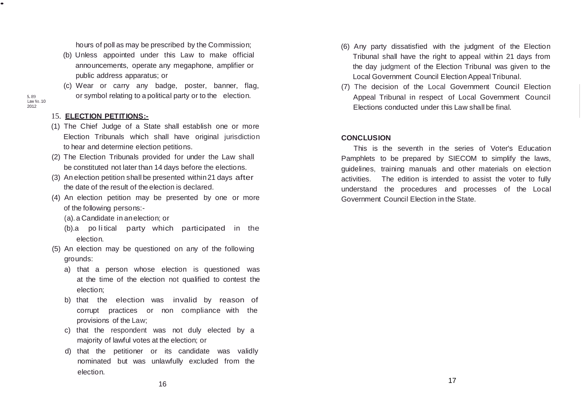hours of poll as may be prescribed by the Commission;

- (b) Unless appointed under this Law to make official announcements, operate any megaphone, amplifier or public address apparatus; or
- (c) Wear or carry any badge, poster, banner, flag, or symbol relating to a political party or to the election.

#### s. 89  $Law$  No. 10  $2012$

•

### 15. **ELECTION PETITIONS:-**

- (1) The Chief Judge of a State shall establish one or more Election Tribunals which shall have original jurisdiction to hear and determine election petitions.
- (2) The Election Tribunals provided for under the Law shall be constituted not later than 14 days before the elections.
- (3) An election petition shall be presented within21 days after the date of the result of the election is declared.
- (4) An election petition may be presented by one or more of the following persons:-
	- (a).a Candidate in anelection; or
	- (b).a po li tical party which participated in the election.
- (5) An election may be questioned on any of the following grounds:
	- a) that a person whose election is questioned was at the time of the election not qualified to contest the election;
	- b) that the election was invalid by reason of corrupt practices or non compliance with the provisions of the Law;
	- c) that the respondent was not duly elected by a majority of lawful votes at the election; or
	- d) that the petitioner or its candidate was validly nominated but was unlawfully excluded from the election.
- (6) Any party dissatisfied with the judgment of the Election Tribunal shall have the right to appeal within 21 days from the day judgment of the Election Tribunal was given to the Local Government Council Election Appeal Tribunal.
- (7) The decision of the Local Government Council Election Appeal Tribunal in respect of Local Government Council Elections conducted under this Law shall be final.

### **CONCLUSION**

This is the seventh in the series of Voter's Education Pamphlets to be prepared by SIECOM to simplify the laws, guidelines, training manuals and other materials on election activities. The edition is intended to assist the voter to fully understand the procedures and processes of the Local Government Council Election in the State.